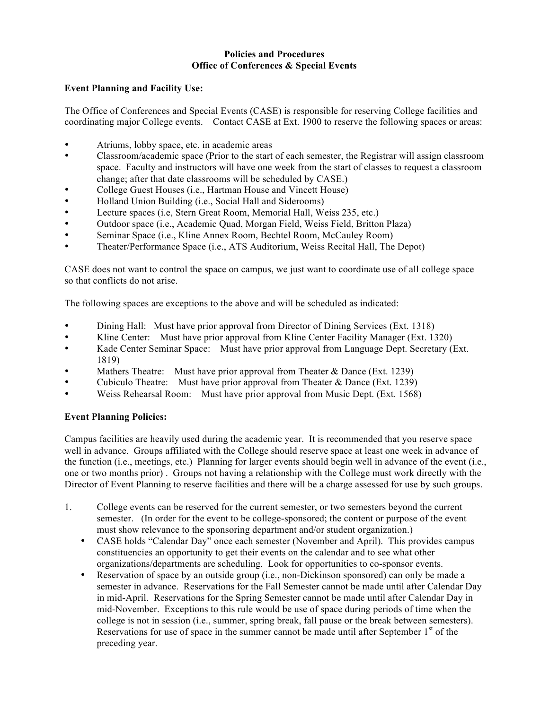## **Policies and Procedures Office of Conferences & Special Events**

## **Event Planning and Facility Use:**

The Office of Conferences and Special Events (CASE) is responsible for reserving College facilities and coordinating major College events. Contact CASE at Ext. 1900 to reserve the following spaces or areas:

- Atriums, lobby space, etc. in academic areas
- Classroom/academic space (Prior to the start of each semester, the Registrar will assign classroom space. Faculty and instructors will have one week from the start of classes to request a classroom change; after that date classrooms will be scheduled by CASE.)
- College Guest Houses (i.e., Hartman House and Vincett House)
- Holland Union Building (i.e., Social Hall and Siderooms)
- Lecture spaces (i.e, Stern Great Room, Memorial Hall, Weiss 235, etc.)
- Outdoor space (i.e., Academic Quad, Morgan Field, Weiss Field, Britton Plaza)<br>• Seminar Space (i.e., Kline Annex Room, Bechtel Room, McCauley Room)
- Seminar Space (i.e., Kline Annex Room, Bechtel Room, McCauley Room)
- Theater/Performance Space (i.e., ATS Auditorium, Weiss Recital Hall, The Depot)

CASE does not want to control the space on campus, we just want to coordinate use of all college space so that conflicts do not arise.

The following spaces are exceptions to the above and will be scheduled as indicated:

- Dining Hall: Must have prior approval from Director of Dining Services (Ext. 1318)
- Kline Center: Must have prior approval from Kline Center Facility Manager (Ext. 1320)
- Kade Center Seminar Space: Must have prior approval from Language Dept. Secretary (Ext. 1819)
- Mathers Theatre: Must have prior approval from Theater & Dance (Ext. 1239)<br>Cubiculo Theatre: Must have prior approval from Theater & Dance (Ext. 1239)
- Cubiculo Theatre: Must have prior approval from Theater  $&$  Dance (Ext. 1239)
- Weiss Rehearsal Room: Must have prior approval from Music Dept. (Ext. 1568)

## **Event Planning Policies:**

Campus facilities are heavily used during the academic year. It is recommended that you reserve space well in advance. Groups affiliated with the College should reserve space at least one week in advance of the function (i.e., meetings, etc.) Planning for larger events should begin well in advance of the event (i.e., one or two months prior) . Groups not having a relationship with the College must work directly with the Director of Event Planning to reserve facilities and there will be a charge assessed for use by such groups.

- 1. College events can be reserved for the current semester, or two semesters beyond the current semester. (In order for the event to be college-sponsored; the content or purpose of the event must show relevance to the sponsoring department and/or student organization.)
	- CASE holds "Calendar Day" once each semester (November and April). This provides campus constituencies an opportunity to get their events on the calendar and to see what other organizations/departments are scheduling. Look for opportunities to co-sponsor events.
	- Reservation of space by an outside group (i.e., non-Dickinson sponsored) can only be made a semester in advance. Reservations for the Fall Semester cannot be made until after Calendar Day in mid-April. Reservations for the Spring Semester cannot be made until after Calendar Day in mid-November. Exceptions to this rule would be use of space during periods of time when the college is not in session (i.e., summer, spring break, fall pause or the break between semesters). Reservations for use of space in the summer cannot be made until after September  $1<sup>st</sup>$  of the preceding year.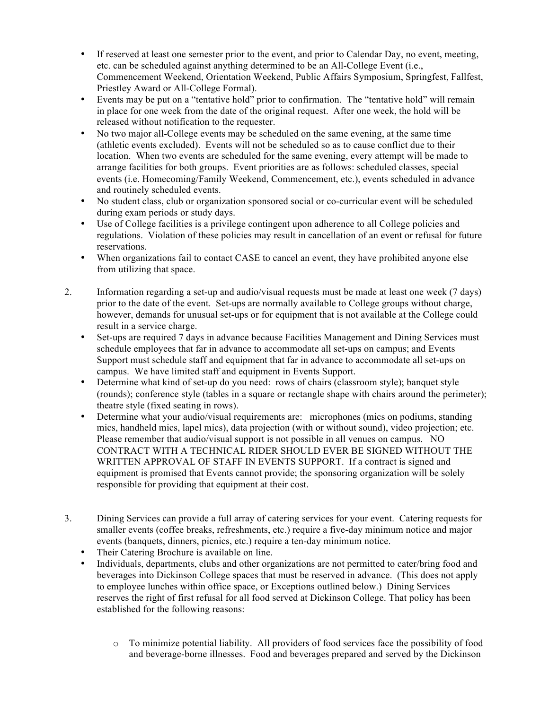- If reserved at least one semester prior to the event, and prior to Calendar Day, no event, meeting, etc. can be scheduled against anything determined to be an All-College Event (i.e., Commencement Weekend, Orientation Weekend, Public Affairs Symposium, Springfest, Fallfest, Priestley Award or All-College Formal).
- Events may be put on a "tentative hold" prior to confirmation. The "tentative hold" will remain in place for one week from the date of the original request. After one week, the hold will be released without notification to the requester.
- No two major all-College events may be scheduled on the same evening, at the same time (athletic events excluded). Events will not be scheduled so as to cause conflict due to their location. When two events are scheduled for the same evening, every attempt will be made to arrange facilities for both groups. Event priorities are as follows: scheduled classes, special events (i.e. Homecoming/Family Weekend, Commencement, etc.), events scheduled in advance and routinely scheduled events.
- No student class, club or organization sponsored social or co-curricular event will be scheduled during exam periods or study days.
- Use of College facilities is a privilege contingent upon adherence to all College policies and regulations. Violation of these policies may result in cancellation of an event or refusal for future reservations.
- When organizations fail to contact CASE to cancel an event, they have prohibited anyone else from utilizing that space.
- 2. Information regarding a set-up and audio/visual requests must be made at least one week (7 days) prior to the date of the event. Set-ups are normally available to College groups without charge, however, demands for unusual set-ups or for equipment that is not available at the College could result in a service charge.
	- Set-ups are required 7 days in advance because Facilities Management and Dining Services must schedule employees that far in advance to accommodate all set-ups on campus; and Events Support must schedule staff and equipment that far in advance to accommodate all set-ups on campus. We have limited staff and equipment in Events Support.
	- Determine what kind of set-up do you need: rows of chairs (classroom style); banquet style (rounds); conference style (tables in a square or rectangle shape with chairs around the perimeter); theatre style (fixed seating in rows).
	- Determine what your audio/visual requirements are: microphones (mics on podiums, standing mics, handheld mics, lapel mics), data projection (with or without sound), video projection; etc. Please remember that audio/visual support is not possible in all venues on campus. NO CONTRACT WITH A TECHNICAL RIDER SHOULD EVER BE SIGNED WITHOUT THE WRITTEN APPROVAL OF STAFF IN EVENTS SUPPORT. If a contract is signed and equipment is promised that Events cannot provide; the sponsoring organization will be solely responsible for providing that equipment at their cost.
- 3. Dining Services can provide a full array of catering services for your event. Catering requests for smaller events (coffee breaks, refreshments, etc.) require a five-day minimum notice and major events (banquets, dinners, picnics, etc.) require a ten-day minimum notice.
	- Their Catering Brochure is available on line.
	- Individuals, departments, clubs and other organizations are not permitted to cater/bring food and beverages into Dickinson College spaces that must be reserved in advance. (This does not apply to employee lunches within office space, or Exceptions outlined below.) Dining Services reserves the right of first refusal for all food served at Dickinson College. That policy has been established for the following reasons:
		- o To minimize potential liability. All providers of food services face the possibility of food and beverage-borne illnesses. Food and beverages prepared and served by the Dickinson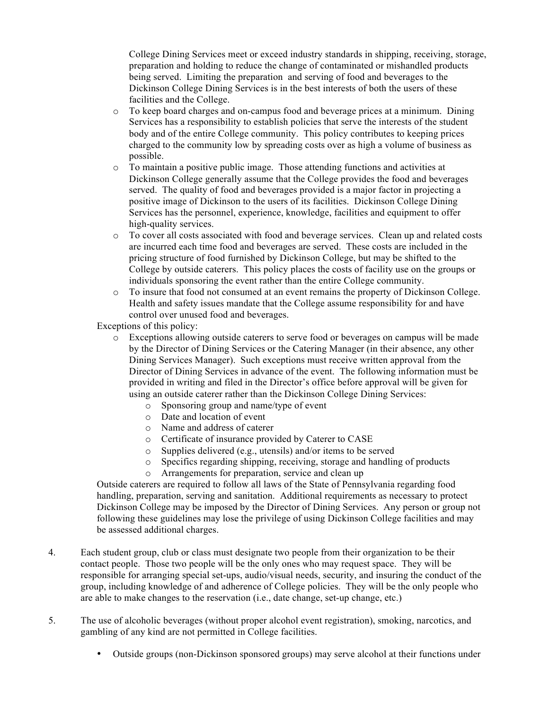College Dining Services meet or exceed industry standards in shipping, receiving, storage, preparation and holding to reduce the change of contaminated or mishandled products being served. Limiting the preparation and serving of food and beverages to the Dickinson College Dining Services is in the best interests of both the users of these facilities and the College.

- o To keep board charges and on-campus food and beverage prices at a minimum. Dining Services has a responsibility to establish policies that serve the interests of the student body and of the entire College community. This policy contributes to keeping prices charged to the community low by spreading costs over as high a volume of business as possible.
- o To maintain a positive public image. Those attending functions and activities at Dickinson College generally assume that the College provides the food and beverages served. The quality of food and beverages provided is a major factor in projecting a positive image of Dickinson to the users of its facilities. Dickinson College Dining Services has the personnel, experience, knowledge, facilities and equipment to offer high-quality services.
- o To cover all costs associated with food and beverage services. Clean up and related costs are incurred each time food and beverages are served. These costs are included in the pricing structure of food furnished by Dickinson College, but may be shifted to the College by outside caterers. This policy places the costs of facility use on the groups or individuals sponsoring the event rather than the entire College community.
- o To insure that food not consumed at an event remains the property of Dickinson College. Health and safety issues mandate that the College assume responsibility for and have control over unused food and beverages.

Exceptions of this policy:

- o Exceptions allowing outside caterers to serve food or beverages on campus will be made by the Director of Dining Services or the Catering Manager (in their absence, any other Dining Services Manager). Such exceptions must receive written approval from the Director of Dining Services in advance of the event. The following information must be provided in writing and filed in the Director's office before approval will be given for using an outside caterer rather than the Dickinson College Dining Services:
	- o Sponsoring group and name/type of event
	- o Date and location of event
	- o Name and address of caterer
	- o Certificate of insurance provided by Caterer to CASE
	- o Supplies delivered (e.g., utensils) and/or items to be served
	- o Specifics regarding shipping, receiving, storage and handling of products
	- o Arrangements for preparation, service and clean up

Outside caterers are required to follow all laws of the State of Pennsylvania regarding food handling, preparation, serving and sanitation. Additional requirements as necessary to protect Dickinson College may be imposed by the Director of Dining Services. Any person or group not following these guidelines may lose the privilege of using Dickinson College facilities and may be assessed additional charges.

- 4. Each student group, club or class must designate two people from their organization to be their contact people. Those two people will be the only ones who may request space. They will be responsible for arranging special set-ups, audio/visual needs, security, and insuring the conduct of the group, including knowledge of and adherence of College policies. They will be the only people who are able to make changes to the reservation (i.e., date change, set-up change, etc.)
- 5. The use of alcoholic beverages (without proper alcohol event registration), smoking, narcotics, and gambling of any kind are not permitted in College facilities.
	- Outside groups (non-Dickinson sponsored groups) may serve alcohol at their functions under